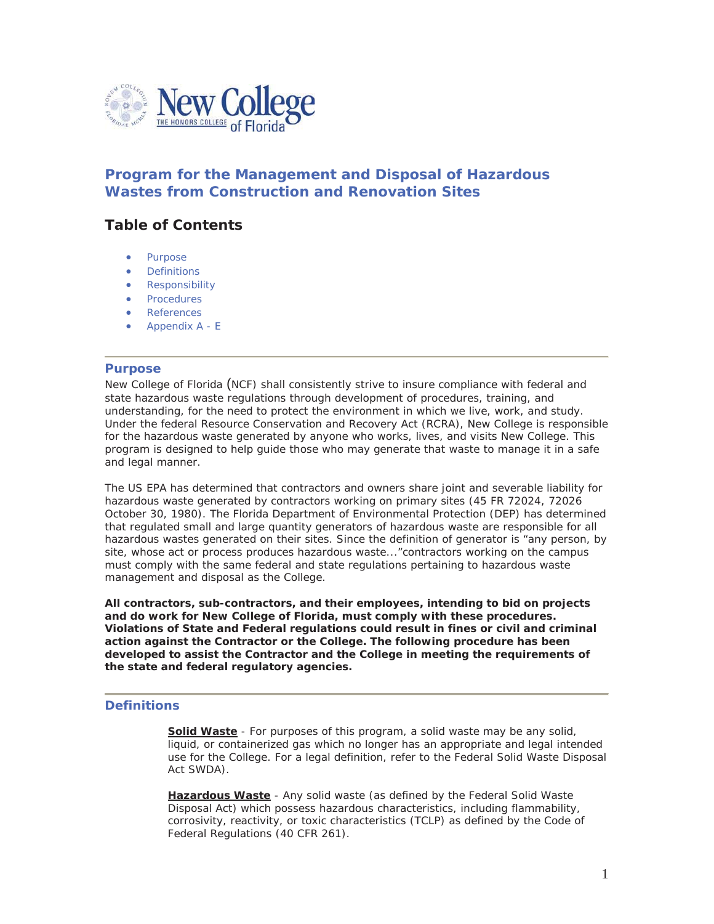

# **Program for the Management and Disposal of Hazardous Wastes from Construction and Renovation Sites**

# **Table of Contents**

- Purpose
- **Definitions**
- Responsibility
- **Procedures**
- References
- Appendix A E

### **Purpose**

New College of Florida (NCF) shall consistently strive to insure compliance with federal and state hazardous waste regulations through development of procedures, training, and understanding, for the need to protect the environment in which we live, work, and study. Under the federal Resource Conservation and Recovery Act (RCRA), New College is responsible for the hazardous waste generated by anyone who works, lives, and visits New College. This program is designed to help guide those who may generate that waste to manage it in a safe and legal manner.

The US EPA has determined that contractors and owners share joint and severable liability for hazardous waste generated by contractors working on primary sites (45 FR 72024, 72026 October 30, 1980). The Florida Department of Environmental Protection (DEP) has determined that regulated small and large quantity generators of hazardous waste are responsible for all hazardous wastes generated on their sites. Since the definition of generator is "any person, by site, whose act or process produces hazardous waste..."contractors working on the campus must comply with the same federal and state regulations pertaining to hazardous waste management and disposal as the College.

**All contractors, sub-contractors, and their employees, intending to bid on projects and do work for New College of Florida, must comply with these procedures. Violations of State and Federal regulations could result in fines or civil and criminal action against the Contractor or the College. The following procedure has been developed to assist the Contractor and the College in meeting the requirements of the state and federal regulatory agencies.** 

## **Definitions**

**Solid Waste** - For purposes of this program, a solid waste may be any solid, liquid, or containerized gas which no longer has an appropriate and legal intended use for the College. For a legal definition, refer to the Federal Solid Waste Disposal Act SWDA).

**Hazardous Waste** - Any solid waste (as defined by the Federal Solid Waste Disposal Act) which possess hazardous characteristics, including flammability, corrosivity, reactivity, or toxic characteristics (TCLP) as defined by the Code of Federal Regulations (40 CFR 261).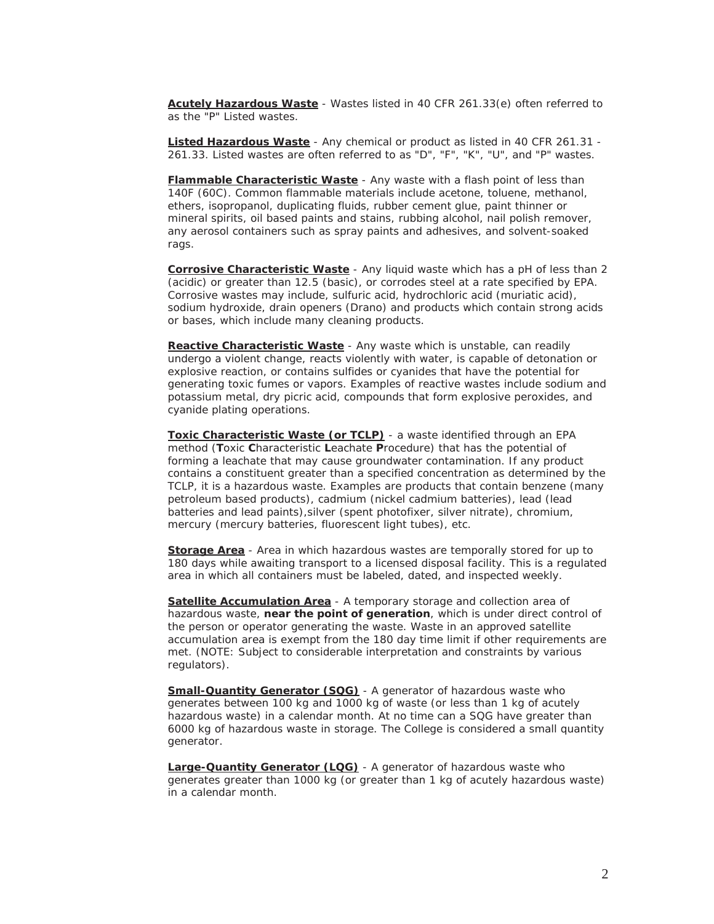**Acutely Hazardous Waste** - Wastes listed in 40 CFR 261.33(e) often referred to as the "P" Listed wastes.

**Listed Hazardous Waste** - Any chemical or product as listed in 40 CFR 261.31 - 261.33. Listed wastes are often referred to as "D", "F", "K", "U", and "P" wastes.

**Flammable Characteristic Waste** - Any waste with a flash point of less than 140F (60C). Common flammable materials include acetone, toluene, methanol, ethers, isopropanol, duplicating fluids, rubber cement glue, paint thinner or mineral spirits, oil based paints and stains, rubbing alcohol, nail polish remover, any aerosol containers such as spray paints and adhesives, and solvent-soaked rags.

**Corrosive Characteristic Waste** - Any liquid waste which has a pH of less than 2 (acidic) or greater than 12.5 (basic), or corrodes steel at a rate specified by EPA. Corrosive wastes may include, sulfuric acid, hydrochloric acid (muriatic acid), sodium hydroxide, drain openers (Drano) and products which contain strong acids or bases, which include many cleaning products.

**Reactive Characteristic Waste** - Any waste which is unstable, can readily undergo a violent change, reacts violently with water, is capable of detonation or explosive reaction, or contains sulfides or cyanides that have the potential for generating toxic fumes or vapors. Examples of reactive wastes include sodium and potassium metal, dry picric acid, compounds that form explosive peroxides, and cyanide plating operations.

**Toxic Characteristic Waste (or TCLP)** - a waste identified through an EPA method (**T**oxic **C**haracteristic **L**eachate **P**rocedure) that has the potential of forming a leachate that may cause groundwater contamination. If any product contains a constituent greater than a specified concentration as determined by the TCLP, it is a hazardous waste. Examples are products that contain benzene (many petroleum based products), cadmium (nickel cadmium batteries), lead (lead batteries and lead paints),silver (spent photofixer, silver nitrate), chromium, mercury (mercury batteries, fluorescent light tubes), etc.

**Storage Area** - Area in which hazardous wastes are temporally stored for up to 180 days while awaiting transport to a licensed disposal facility. This is a regulated area in which all containers must be labeled, dated, and inspected weekly.

**Satellite Accumulation Area** - A temporary storage and collection area of hazardous waste, *near the point of generation*, which is under direct control of the person or operator generating the waste. Waste in an approved satellite accumulation area is exempt from the 180 day time limit if other requirements are met. (NOTE: Subject to considerable interpretation and constraints by various regulators).

**Small-Quantity Generator (SQG)** - A generator of hazardous waste who generates between 100 kg and 1000 kg of waste (or less than 1 kg of acutely hazardous waste) in a calendar month. At no time can a SQG have greater than 6000 kg of hazardous waste in storage. The College is considered a small quantity generator.

**Large-Quantity Generator (LQG)** - A generator of hazardous waste who generates greater than 1000 kg (or greater than 1 kg of acutely hazardous waste) in a calendar month.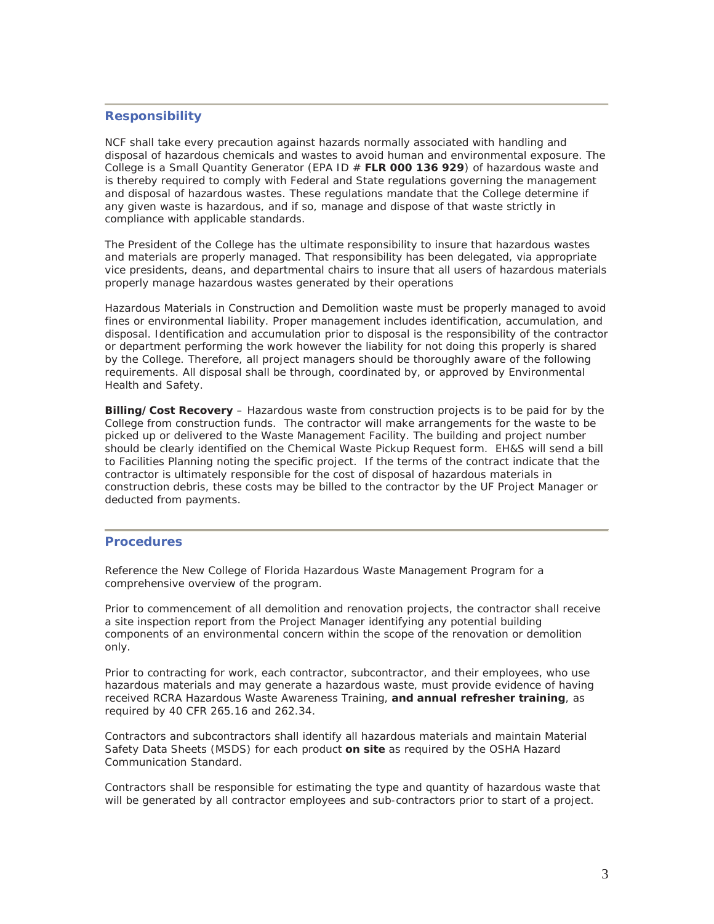## **Responsibility**

NCF shall take every precaution against hazards normally associated with handling and disposal of hazardous chemicals and wastes to avoid human and environmental exposure. The College is a *Small Quantity Generator* (EPA ID # **FLR 000 136 929**) of hazardous waste and is thereby required to comply with Federal and State regulations governing the management and disposal of hazardous wastes. These regulations mandate that the College determine if any given waste is hazardous, and if so, manage and dispose of that waste strictly in compliance with applicable standards.

The President of the College has the ultimate responsibility to insure that hazardous wastes and materials are properly managed. That responsibility has been delegated, via appropriate vice presidents, deans, and departmental chairs to insure that all users of hazardous materials properly manage hazardous wastes generated by their operations

Hazardous Materials in Construction and Demolition waste must be properly managed to avoid fines or environmental liability. Proper management includes identification, accumulation, and disposal. Identification and accumulation prior to disposal is the responsibility of the contractor or department performing the work however the liability for not doing this properly is shared by the College. Therefore, all project managers should be thoroughly aware of the following requirements. All disposal shall be through, coordinated by, or approved by Environmental Health and Safety.

**Billing/Cost Recovery** – Hazardous waste from construction projects is to be paid for by the College from construction funds. The contractor will make arrangements for the waste to be picked up or delivered to the Waste Management Facility. The building and project number should be clearly identified on the Chemical Waste Pickup Request form. EH&S will send a bill to Facilities Planning noting the specific project. If the terms of the contract indicate that the contractor is ultimately responsible for the cost of disposal of hazardous materials in construction debris, these costs may be billed to the contractor by the UF Project Manager or deducted from payments.

#### **Procedures**

Reference the New College of Florida Hazardous Waste Management Program for a comprehensive overview of the program.

Prior to commencement of all demolition and renovation projects, the contractor shall receive a site inspection report from the Project Manager identifying any potential building components of an environmental concern *within the scope of the renovation or demolition only.*

Prior to contracting for work, each contractor, subcontractor, and their employees, *who use hazardous materials and may generate a hazardous waste*, must provide evidence of having received RCRA Hazardous Waste Awareness Training, **and annual refresher training**, as required by 40 CFR 265.16 and 262.34.

Contractors and subcontractors shall identify all hazardous materials and maintain Material Safety Data Sheets (MSDS) for each product *on site* as required by the OSHA Hazard Communication Standard.

Contractors shall be responsible for estimating the type and quantity of hazardous waste that will be generated by all contractor employees and sub-contractors prior to start of a project.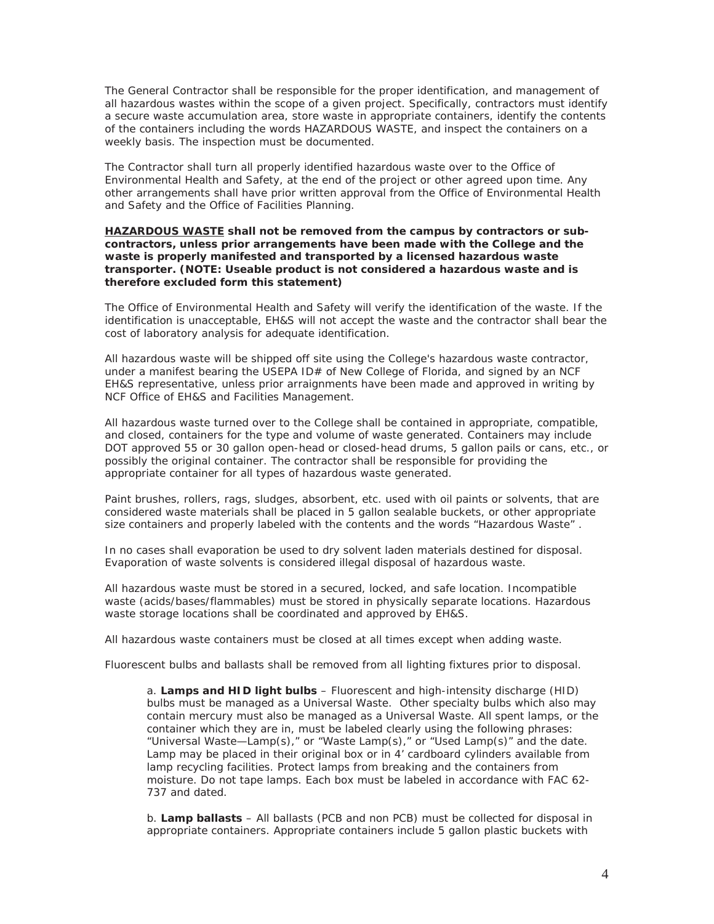The General Contractor shall be responsible for the proper identification, and management of all hazardous wastes within the scope of a given project. Specifically, contractors must identify a secure waste accumulation area, store waste in appropriate containers, identify the contents of the containers including the words HAZARDOUS WASTE, and inspect the containers on a weekly basis. The inspection must be documented.

The Contractor shall turn all properly identified hazardous waste over to the Office of Environmental Health and Safety, at the end of the project or other agreed upon time. Any other arrangements shall have prior written approval from the Office of Environmental Health and Safety and the Office of Facilities Planning.

#### *HAZARDOUS WASTE shall not be removed from the campus by contractors or subcontractors, unless prior arrangements have been made with the College and the waste is properly manifested and transported by a licensed hazardous waste transporter. (NOTE: Useable product is not considered a hazardous waste and is therefore excluded form this statement)*

The Office of Environmental Health and Safety will verify the identification of the waste. If the identification is unacceptable, EH&S will not accept the waste and the contractor shall bear the cost of laboratory analysis for adequate identification.

All hazardous waste will be shipped off site using the College's hazardous waste contractor, under a manifest bearing the USEPA ID# of New College of Florida, and signed by an NCF EH&S representative, unless prior arraignments have been made and approved in writing by NCF Office of EH&S and Facilities Management.

All hazardous waste turned over to the College shall be contained in appropriate, compatible, and closed, containers for the type and volume of waste generated. Containers may include DOT approved 55 or 30 gallon open-head or closed-head drums, 5 gallon pails or cans, etc., or possibly the original container. The contractor shall be responsible for providing the appropriate container for all types of hazardous waste generated.

Paint brushes, rollers, rags, sludges, absorbent, etc. used with oil paints or solvents, that are considered waste materials shall be placed in 5 gallon sealable buckets, or other appropriate size containers and properly labeled with the contents and the words "Hazardous Waste" .

In no cases shall evaporation be used to dry solvent laden materials destined for disposal. Evaporation of waste solvents is considered illegal disposal of hazardous waste.

All hazardous waste must be stored in a secured, locked, and safe location. Incompatible waste (acids/bases/flammables) must be stored in physically separate locations. Hazardous waste storage locations shall be coordinated and approved by EH&S.

All hazardous waste containers must be closed at all times except when adding waste.

Fluorescent bulbs and ballasts shall be removed from all lighting fixtures prior to disposal.

a. **Lamps and HID light bulbs** – Fluorescent and high-intensity discharge (HID) bulbs must be managed as a Universal Waste. Other specialty bulbs which also may contain mercury must also be managed as a Universal Waste. All spent lamps, or the container which they are in, must be labeled clearly using the following phrases: "Universal Waste—Lamp(s)," or "Waste Lamp(s)," or "Used Lamp(s)" and the date. Lamp may be placed in their original box or in 4' cardboard cylinders available from lamp recycling facilities. Protect lamps from breaking and the containers from moisture. Do not tape lamps. Each box must be labeled in accordance with FAC 62- 737 and dated.

b. **Lamp ballasts** – All ballasts (PCB and non PCB) must be collected for disposal in appropriate containers. Appropriate containers include 5 gallon plastic buckets with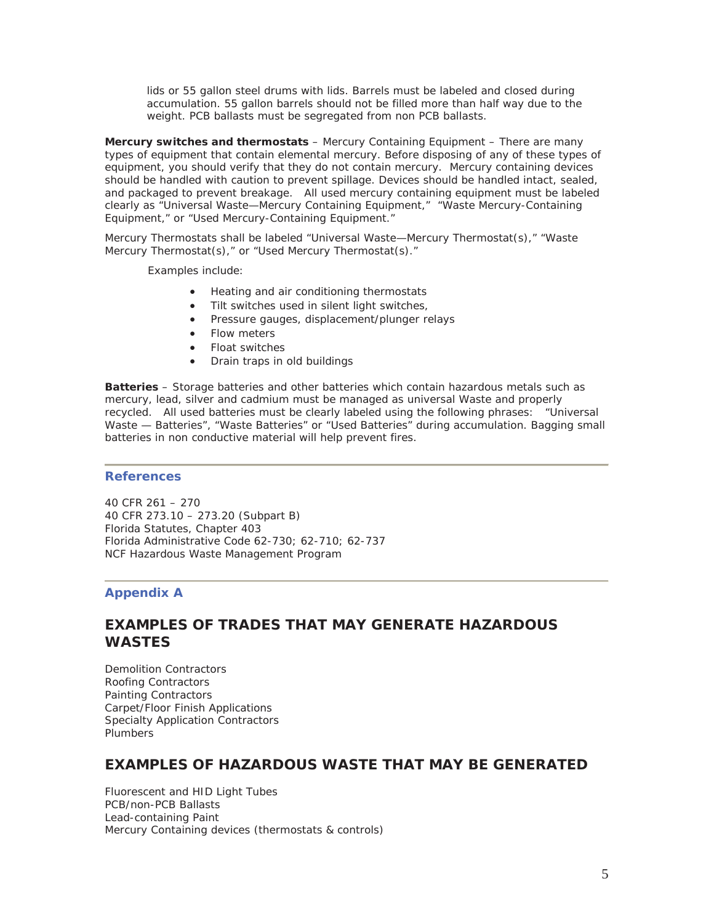lids or 55 gallon steel drums with lids. Barrels must be labeled and closed during accumulation. 55 gallon barrels should not be filled more than half way due to the weight. PCB ballasts must be segregated from non PCB ballasts.

**Mercury switches and thermostats** – Mercury Containing Equipment – There are many types of equipment that contain elemental mercury. Before disposing of any of these types of equipment, you should verify that they do not contain mercury. Mercury containing devices should be handled with caution to prevent spillage. Devices should be handled intact, sealed, and packaged to prevent breakage. All used mercury containing equipment must be labeled clearly as "Universal Waste—Mercury Containing Equipment," "Waste Mercury-Containing Equipment," or "Used Mercury-Containing Equipment."

Mercury Thermostats shall be labeled "Universal Waste—Mercury Thermostat(s)," "Waste Mercury Thermostat(s)," or "Used Mercury Thermostat(s)."

Examples include:

- Heating and air conditioning thermostats
- Tilt switches used in silent light switches,
- Pressure gauges, displacement/plunger relays
- Flow meters
- Float switches
- Drain traps in old buildings

**Batteries** – Storage batteries and other batteries which contain hazardous metals such as mercury, lead, silver and cadmium must be managed as universal Waste and properly recycled. All used batteries must be clearly labeled using the following phrases: "Universal Waste — Batteries", "Waste Batteries" or "Used Batteries" during accumulation. Bagging small batteries in non conductive material will help prevent fires.

#### **References**

40 CFR 261 – 270 40 CFR 273.10 – 273.20 (Subpart B) Florida Statutes, Chapter 403 Florida Administrative Code 62-730; 62-710; 62-737 NCF Hazardous Waste Management Program

#### **Appendix A**

# **EXAMPLES OF TRADES THAT MAY GENERATE HAZARDOUS WASTES**

Demolition Contractors Roofing Contractors Painting Contractors Carpet/Floor Finish Applications Specialty Application Contractors Plumbers

# **EXAMPLES OF HAZARDOUS WASTE THAT MAY BE GENERATED**

Fluorescent and HID Light Tubes PCB/non-PCB Ballasts Lead-containing Paint Mercury Containing devices (thermostats & controls)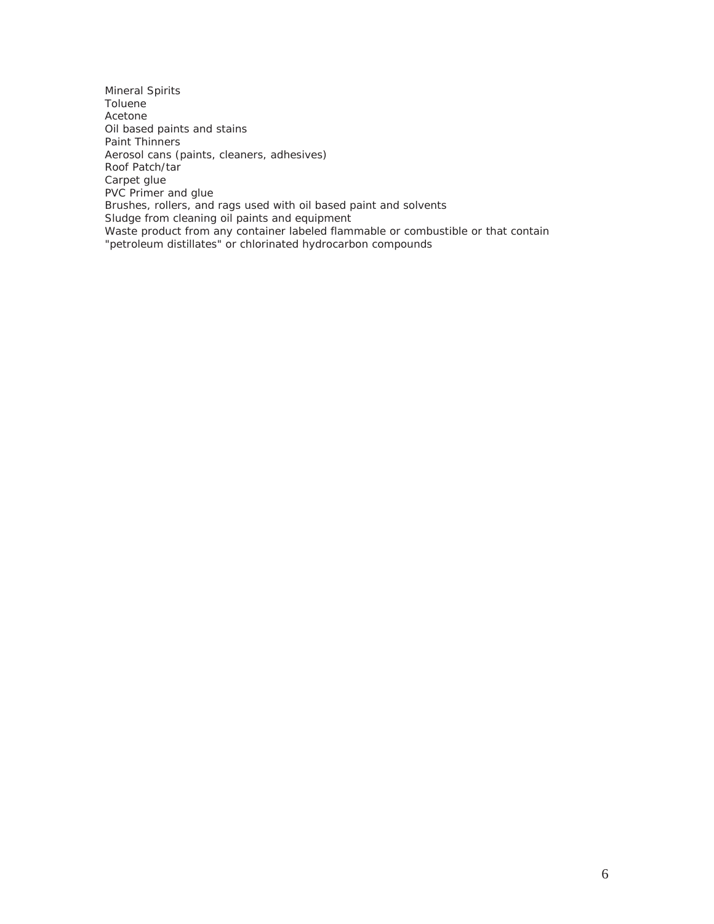Mineral Spirits Toluene Acetone Oil based paints and stains Paint Thinners Aerosol cans (paints, cleaners, adhesives) Roof Patch/tar Carpet glue PVC Primer and glue Brushes, rollers, and rags used with oil based paint and solvents Sludge from cleaning oil paints and equipment Waste product from any container labeled flammable or combustible or that contain "petroleum distillates" or chlorinated hydrocarbon compounds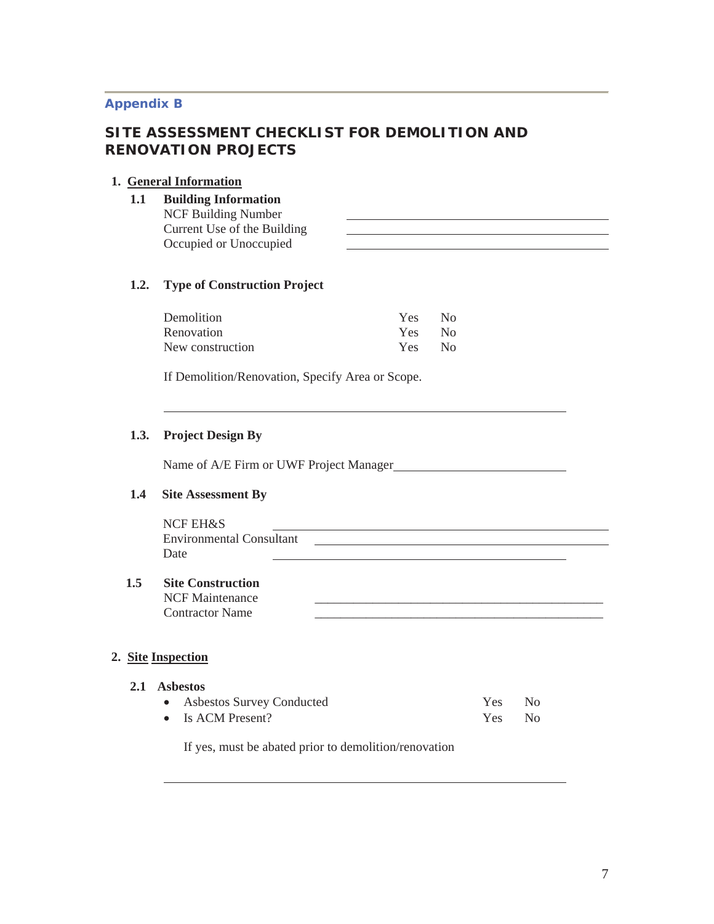## **Appendix B**

# **SITE ASSESSMENT CHECKLIST FOR DEMOLITION AND RENOVATION PROJECTS**

# **1. General Information**

**1.1 Building Information**  NCF Building Number Current Use of the Building Occupied or Unoccupied

# **1.2. Type of Construction Project**

| Demolition       | Yes | N <sub>0</sub> |
|------------------|-----|----------------|
| Renovation       | Yes | N <sub>0</sub> |
| New construction | Yes | N <sub>0</sub> |

If Demolition/Renovation, Specify Area or Scope.

## **1.3. Project Design By**

Name of A/E Firm or UWF Project Manager

## **1.4 Site Assessment By**

# NCF EH&S Environmental Consultant Date

## **1.5 Site Construction**

NCF Maintenance Contractor Name

# **2. Site Inspection**

l,

| 2.1 Asbestos |                             |        |  |
|--------------|-----------------------------|--------|--|
|              | • Asbestos Survey Conducted | Yes No |  |
|              | • Is ACM Present?           | Yes No |  |

If yes, must be abated prior to demolition/renovation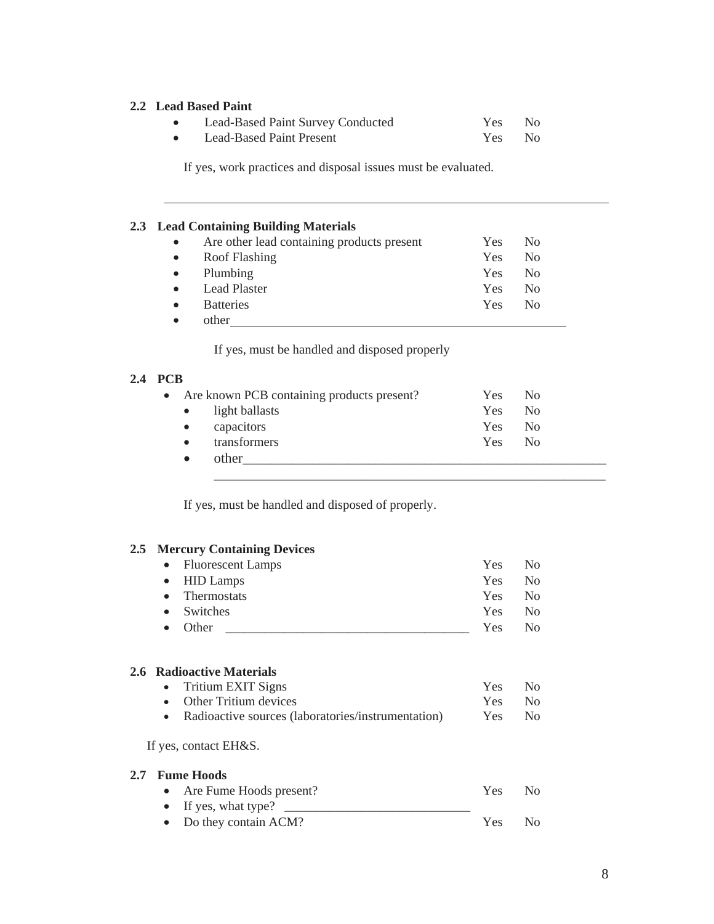## **2.2 Lead Based Paint**

l

| Lead-Based Paint Survey Conducted | Yes No |  |
|-----------------------------------|--------|--|
| Lead-Based Paint Present          | Yes No |  |

If yes, work practices and disposal issues must be evaluated.

## **2.3 Lead Containing Building Materials**

| $\bullet$ | Are other lead containing products present | <b>Yes</b> | N <sub>0</sub> |
|-----------|--------------------------------------------|------------|----------------|
| $\bullet$ | Roof Flashing                              | Yes        | N <sub>0</sub> |
| $\bullet$ | Plumbing                                   | <b>Yes</b> | N <sub>0</sub> |
| $\bullet$ | <b>Lead Plaster</b>                        | Yes        | No             |
| $\bullet$ | <b>Batteries</b>                           | <b>Yes</b> | No             |
|           | other                                      |            |                |

If yes, must be handled and disposed properly

# **2.4 PCB**

|           | • Are known PCB containing products present? | Yes  | - No           |  |
|-----------|----------------------------------------------|------|----------------|--|
|           | • light ballasts                             | Yes: | N <sub>0</sub> |  |
| $\bullet$ | capacitors                                   | Yes  | - No           |  |
|           | transformers                                 | Yes  | N <sub>0</sub> |  |
|           | other                                        |      |                |  |

\_\_\_\_\_\_\_\_\_\_\_\_\_\_\_\_\_\_\_\_\_\_\_\_\_\_\_\_\_\_\_\_\_\_\_\_\_\_\_\_\_\_\_\_\_\_\_\_\_\_\_\_\_\_\_\_

If yes, must be handled and disposed of properly.

## **2.5 Mercury Containing Devices**

|               | <b>Fluorescent Lamps</b><br>$\bullet$              | Yes | No.            |
|---------------|----------------------------------------------------|-----|----------------|
|               | <b>HID Lamps</b><br>$\bullet$                      | Yes | N <sub>0</sub> |
|               | <b>Thermostats</b><br>$\bullet$                    | Yes | N <sub>0</sub> |
|               | Switches<br>$\bullet$                              | Yes | N <sub>o</sub> |
|               | Other<br>$\bullet$                                 | Yes | N <sub>0</sub> |
|               |                                                    |     |                |
|               | 2.6 Radioactive Materials                          |     |                |
|               | <b>Tritium EXIT Signs</b>                          | Yes | N <sub>0</sub> |
|               | Other Tritium devices<br>$\bullet$                 | Yes | N <sub>0</sub> |
|               | Radioactive sources (laboratories/instrumentation) | Yes | N <sub>0</sub> |
|               | If yes, contact EH&S.                              |     |                |
| $2.7^{\circ}$ | <b>Fume Hoods</b>                                  |     |                |
|               | Are Fume Hoods present?<br>$\bullet$               | Yes | N <sub>0</sub> |
|               | If yes, what type?                                 |     |                |
|               | Do they contain ACM?                               | Yes | N <sub>0</sub> |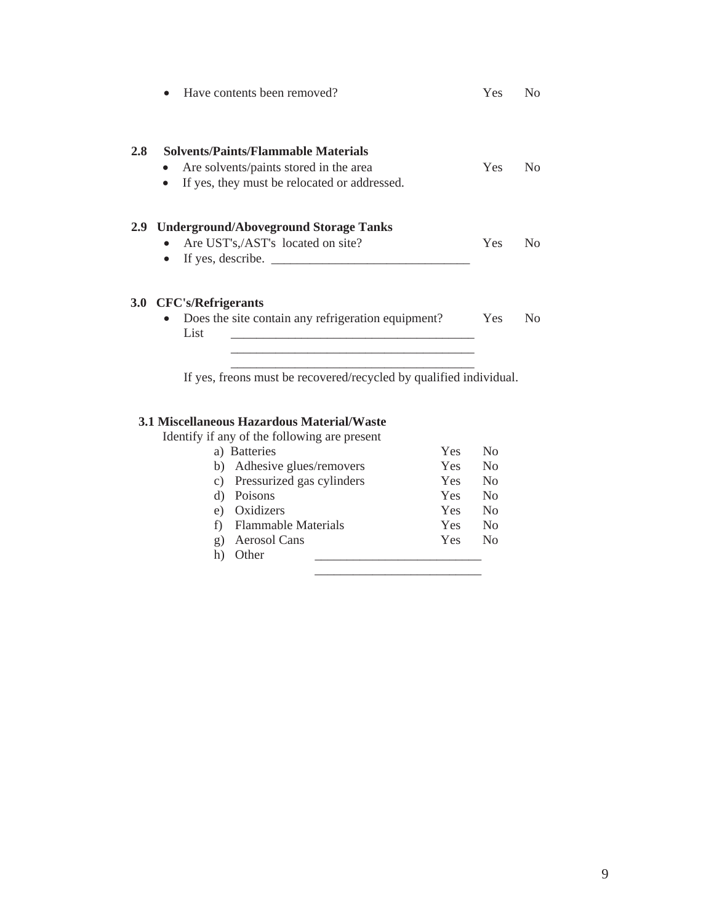|                  | Have contents been removed?                                                                                                                       | Yes        | No.            |
|------------------|---------------------------------------------------------------------------------------------------------------------------------------------------|------------|----------------|
| 2.8              | <b>Solvents/Paints/Flammable Materials</b><br>Are solvents/paints stored in the area<br>If yes, they must be relocated or addressed.<br>$\bullet$ | Yes        | N <sub>0</sub> |
| 2.9 <sub>2</sub> | <b>Underground/Aboveground Storage Tanks</b><br>Are UST's,/AST's located on site?<br>$\bullet$<br>If yes, describe.<br>$\bullet$                  | <b>Yes</b> | No             |
|                  | 3.0 CFC's/Refrigerants<br>Does the site contain any refrigeration equipment?<br>$\bullet$<br>List                                                 | <b>Yes</b> | N <sub>0</sub> |
|                  |                                                                                                                                                   |            |                |

If yes, freons must be recovered/recycled by qualified individual.

# **3.1 Miscellaneous Hazardous Material/Waste**

| Identify if any of the following are present |     |                |
|----------------------------------------------|-----|----------------|
| a) Batteries                                 | Yes | N <sub>0</sub> |
| Adhesive glues/removers<br>b)                | Yes | N <sub>0</sub> |
| Pressurized gas cylinders<br>C)              | Yes | N <sub>0</sub> |
| Poisons<br>d)                                | Yes | N <sub>0</sub> |
| Oxidizers<br>e)                              | Yes | N <sub>0</sub> |
| <b>Flammable Materials</b>                   | Yes | N <sub>0</sub> |
| <b>Aerosol Cans</b><br>g)                    | Yes | N <sub>0</sub> |
| Other<br>h)                                  |     |                |
|                                              |     |                |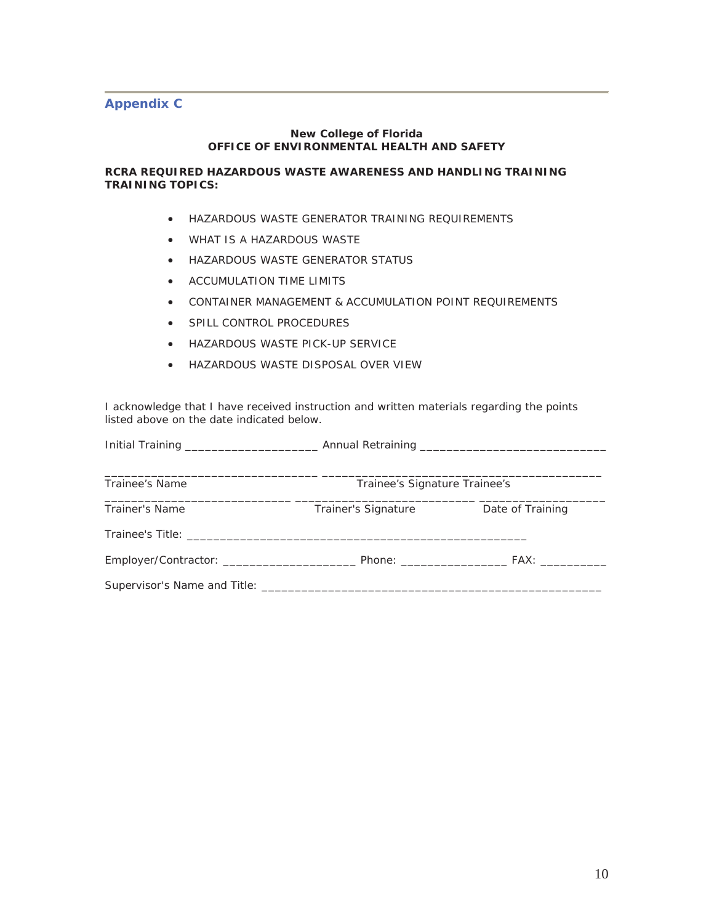## **Appendix C**

#### **New College of Florida OFFICE OF ENVIRONMENTAL HEALTH AND SAFETY**

## **RCRA REQUIRED HAZARDOUS WASTE AWARENESS AND HANDLING TRAINING TRAINING TOPICS:**

- **HAZARDOUS WASTE GENERATOR TRAINING REQUIREMENTS**
- WHAT IS A HAZARDOUS WASTE
- **HAZARDOUS WASTE GENERATOR STATUS**
- ACCUMULATION TIME LIMITS
- **CONTAINER MANAGEMENT & ACCUMULATION POINT REQUIREMENTS**
- **SPILL CONTROL PROCEDURES**
- **HAZARDOUS WASTE PICK-UP SERVICE**
- **HAZARDOUS WASTE DISPOSAL OVER VIEW**

I acknowledge that I have received instruction and written materials regarding the points listed above on the date indicated below.

| Trainee's Name | Trainee's Signature Trainee's |                  |
|----------------|-------------------------------|------------------|
| Trainer's Name | Trainer's Signature           | Date of Training |
|                |                               |                  |
|                |                               |                  |
|                |                               |                  |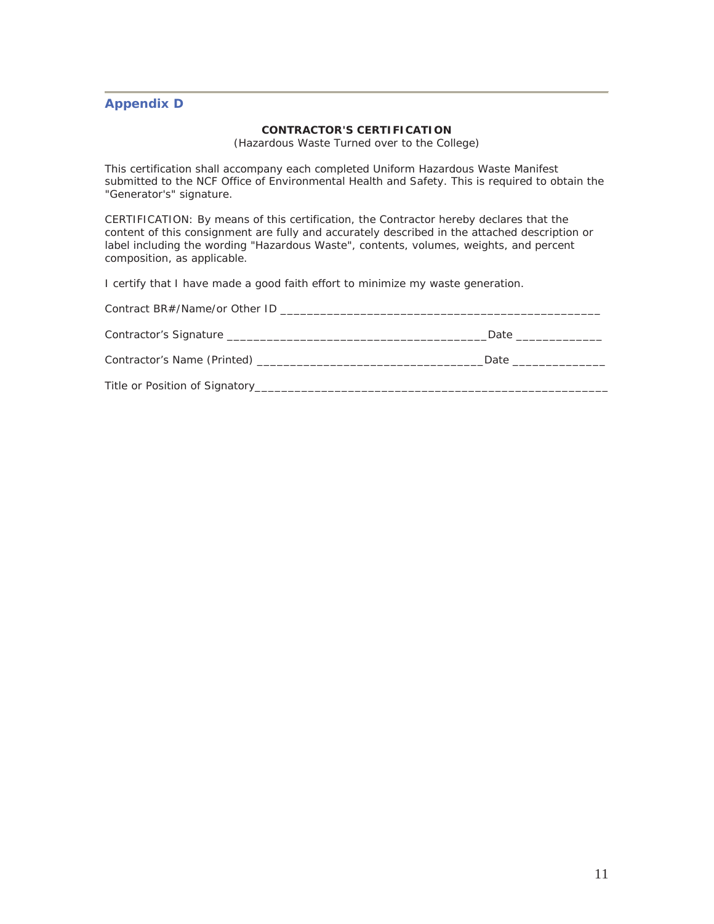# **Appendix D**

### **CONTRACTOR'S CERTIFICATION**

(Hazardous Waste Turned over to the College)

This certification shall accompany each completed Uniform Hazardous Waste Manifest submitted to the NCF Office of Environmental Health and Safety. This is required to obtain the "Generator's" signature.

CERTIFICATION: By means of this certification, the Contractor hereby declares that the content of this consignment are fully and accurately described in the attached description or label including the wording "Hazardous Waste", contents, volumes, weights, and percent composition, as applicable.

I certify that I have made a good faith effort to minimize my waste generation.

| Contract BR#/Name/or Other ID                                                   |                                                                                                                                                                                                                                |
|---------------------------------------------------------------------------------|--------------------------------------------------------------------------------------------------------------------------------------------------------------------------------------------------------------------------------|
|                                                                                 | Date the contract of the contract of the contract of the contract of the contract of the contract of the contract of the contract of the contract of the contract of the contract of the contract of the contract of the contr |
| Contractor's Name (Printed) example a series of the contractor's Name (Printed) | Date that the contract of the contract of the contract of the contract of the contract of the contract of the contract of the contract of the contract of the contract of the contract of the contract of the contract of the  |
|                                                                                 |                                                                                                                                                                                                                                |